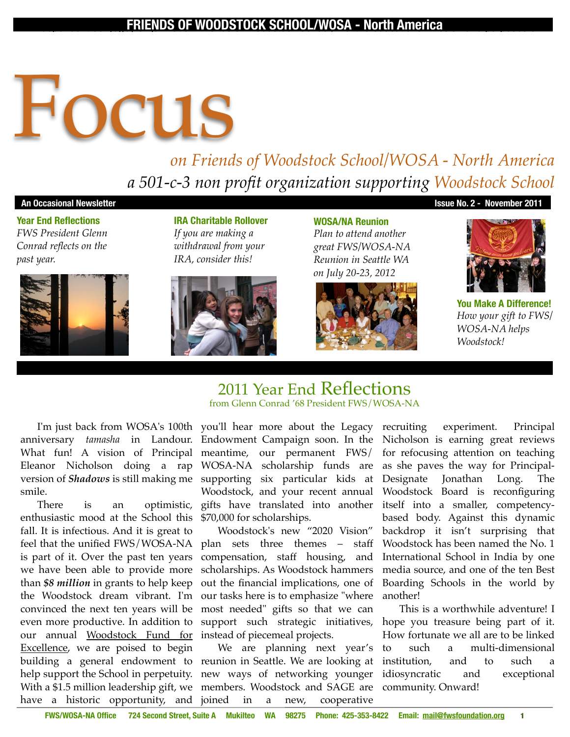#### An independent 501(c)(3) Organization Friends of Woodstock School, Inc. the educational mission and purposes of **FRIENDS OF WOODSTOCK SCHOOL/WOSA - North America**

# **Focus**

# *on Friends of Woodstock School/WOSA - North America a 501-c-3 non profit organization supporting Woodstock School*

#### **An Occasional Newsletter Issue No. 2 - November 2011**

**Year End Reflections** *FWS President Glenn Conrad reflects on the past year.*



**IRA Charitable Rollover** *If you are making a withdrawal from your IRA, consider this!*



**WOSA/NA Reunion** *Plan to attend another great FWS/WOSA-NA Reunion in Seattle WA on July 20-23, 2012*





**You Make A Difference!** *How your gift to FWS/ WOSA-NA helps Woodstock!*

anniversary *tamasha* in Landour. Endowment Campaign soon. In the What fun! A vision of Principal meantime, our permanent FWS/ Eleanor Nicholson doing a rap WOSA-NA scholarship funds are version of *Shadows* is still making me supporting six particular kids at smile.

enthusiastic mood at the School this \$70,000 for scholarships. fall. It is infectious. And it is great to is part of it. Over the past ten years we have been able to provide more our annual <u>Woodstock Fund for</u> instead of piecemeal projects. Excellence, we are poised to begin building a general endowment to reunion in-Seattle. We are looking at help support the School in perpetuity. new ways of networking younger With a \$1.5 million leadership gift, we members. Woodstock and SAGE are have a historic opportunity, and joined

I'm just back from WOSA's 100th you'll hear more about the Legacy from Glenn Conrad '68 President FWS/WOSA-NA

2011 Year End Reflections

There is an optimistic, gifts have translated into another Woodstock, and your recent annual

feel that the unified FWS/WOSA-NA plan sets three themes – staff than *\$8 million* in grants to help keep out the financial implications, one of the Woodstock dream vibrant. I'm our tasks here is to emphasize "where convinced the next ten years will be most needed" gifts so that we can even more productive. In addition to support such strategic initiatives, Woodstock's new "2020 Vision" compensation, staff housing, and scholarships. As Woodstock hammers

We are planning next year's in a new, cooperative

recruiting experiment. Principal Nicholson is earning great reviews for refocusing attention on teaching as she paves the way for Principal-Designate Jonathan Long. The Woodstock Board is reconfiguring itself into a smaller, competencybased body. Against this dynamic backdrop it isn't surprising that Woodstock has been named the No. 1 International School in India by one media source, and one of the ten Best Boarding Schools in the world by another!

This is a worthwhile adventure! I hope you treasure being part of it. How fortunate we all are to be linked to such a multi-dimensional institution, and to such a idiosyncratic and exceptional community. Onward!